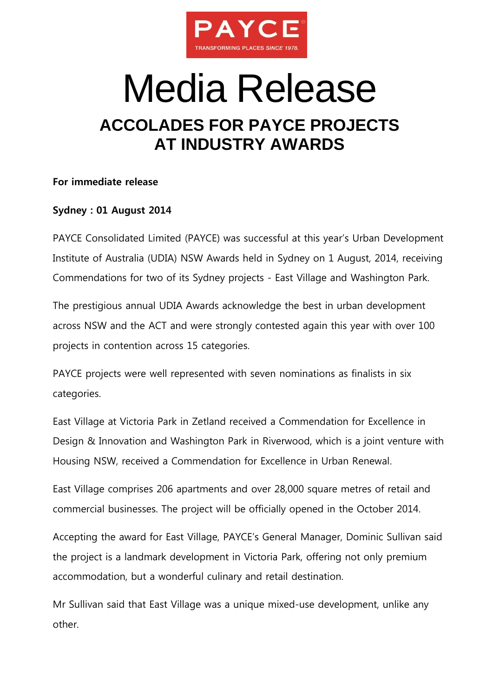

## Media Release **ACCOLADES FOR PAYCE PROJECTS AT INDUSTRY AWARDS**

## **For immediate release**

## **Sydney : 01 August 2014**

PAYCE Consolidated Limited (PAYCE) was successful at this year's Urban Development Institute of Australia (UDIA) NSW Awards held in Sydney on 1 August, 2014, receiving Commendations for two of its Sydney projects - East Village and Washington Park.

The prestigious annual UDIA Awards acknowledge the best in urban development across NSW and the ACT and were strongly contested again this year with over 100 projects in contention across 15 categories.

PAYCE projects were well represented with seven nominations as finalists in six categories.

East Village at Victoria Park in Zetland received a Commendation for Excellence in Design & Innovation and Washington Park in Riverwood, which is a joint venture with Housing NSW, received a Commendation for Excellence in Urban Renewal.

East Village comprises 206 apartments and over 28,000 square metres of retail and commercial businesses. The project will be officially opened in the October 2014.

Accepting the award for East Village, PAYCE's General Manager, Dominic Sullivan said the project is a landmark development in Victoria Park, offering not only premium accommodation, but a wonderful culinary and retail destination.

Mr Sullivan said that East Village was a unique mixed-use development, unlike any other.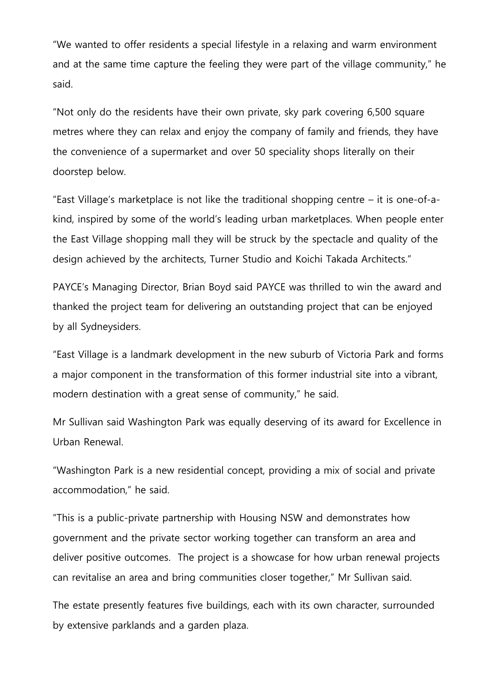"We wanted to offer residents a special lifestyle in a relaxing and warm environment and at the same time capture the feeling they were part of the village community," he said.

"Not only do the residents have their own private, sky park covering 6,500 square metres where they can relax and enjoy the company of family and friends, they have the convenience of a supermarket and over 50 speciality shops literally on their doorstep below.

"East Village's marketplace is not like the traditional shopping centre – it is one-of-akind, inspired by some of the world's leading urban marketplaces. When people enter the East Village shopping mall they will be struck by the spectacle and quality of the design achieved by the architects, Turner Studio and Koichi Takada Architects."

PAYCE's Managing Director, Brian Boyd said PAYCE was thrilled to win the award and thanked the project team for delivering an outstanding project that can be enjoyed by all Sydneysiders.

"East Village is a landmark development in the new suburb of Victoria Park and forms a major component in the transformation of this former industrial site into a vibrant, modern destination with a great sense of community," he said.

Mr Sullivan said Washington Park was equally deserving of its award for Excellence in Urban Renewal.

"Washington Park is a new residential concept, providing a mix of social and private accommodation," he said.

"This is a public-private partnership with Housing NSW and demonstrates how government and the private sector working together can transform an area and deliver positive outcomes. The project is a showcase for how urban renewal projects can revitalise an area and bring communities closer together," Mr Sullivan said.

The estate presently features five buildings, each with its own character, surrounded by extensive parklands and a garden plaza.